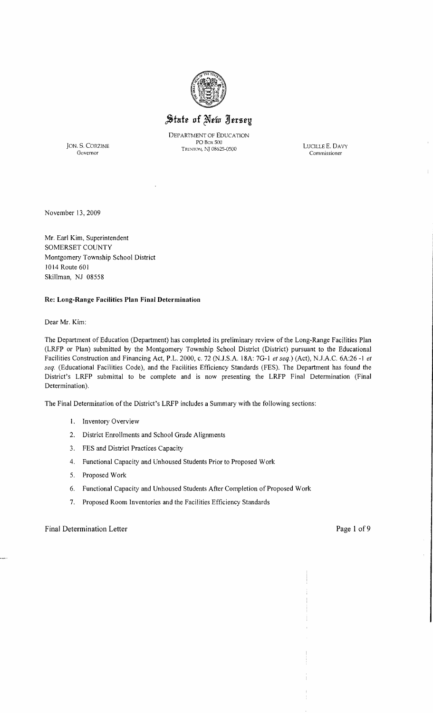

# State of New Jersey

DEPARTMENT OF EDUCATION PO Box 500 JON. S. CORZINE LUCILLE E. DAVY TRENTON, NJ 08625-0500

Governor Commissioner

÷

November 13,2009

Mr. Earl Kim, Superintendent SOMERSET COUNTY Montgomery Township School District 1014 Route 601 Skillman, NJ 08558

#### Re: Long-Range Facilities Plan Final Determination

Dear Mr. Kim:

The Department of Education (Department) has completed its preliminary review of the Long-Range Facilities Plan (LRFP or Plan) submitted by the Montgomery Township School District (District) pursuant to the Educational Facilities Construction and Financing Act, P.L. 2000, c. 72 (N.J.S.A. 18A: 70-1 *et seq.)* (Act), N.J.A.C. 6A:26 -I *et seq.* (Educational Facilities Code), and the Facilities Efficiency Standards (FES). The Department has found the District's LRFP submittal to be complete and is now presenting the LRFP Final Determination (Final Determination).

The Final Determination of the District's LRFP includes a Summary with the following sections:

- I. Inventory Overview
- 2. District Enrollments and School Orade Alignments
- 3. FES and District Practices Capacity
- 4. Functional Capacity and Unhoused Students Prior to Proposed Work
- 5. Proposed Work
- 6. Functional Capacity and Unhoused Students After Completion of Proposed Work
- 7. Proposed Room Inventories and the Facilities Efficiency Standards

#### Final Determination Letter Page 1 of 9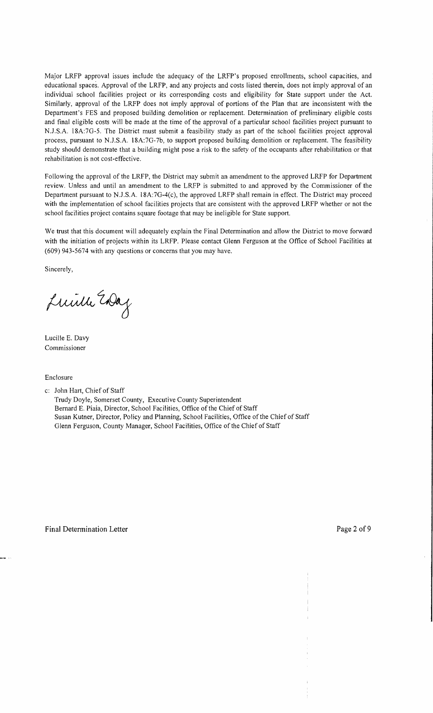Major LRFP approval issues include the adequacy of the LRFP's proposed emollments, school capacities, and educational spaces. Approval of the LRFP, and any projects and costs listed therein, does not imply approval of an individual school facilities project or its corresponding costs and eligibility for State support under the Act. Similarly, approval of the LRFP does not imply approval of portions of the Plan that are inconsistent with the Department's FES and proposed building demolition or replacement. Determination of preliminary eligible costs and final eligible costs will be made at the time of the approval of a particular school facilities project pursuant to N.J .S.A. l8A:7G-5. The District must submit a feasibility study as part of the school facilities project approval process, pursuant to N.J.S.A. 18A:7G-7b, to support proposed building demolition or replacement. The feasibility study should demonstrate that a building might pose a risk to the safety of the occupants after rehabilitation or that rehabilitation is not cost-effective.

Following the approval of the LRFP, the District may submit an amendment to the approved LRFP for Department review. Unless and until an amendment to the LRFP is submitted to and approved by the Commissioner of the Department pursuant to N.J.S.A. 18A:7G-4(c), the approved LRFP shall remain in effect. The District may proceed with the implementation of school facilities projects that are consistent with the approved LRFP whether or not the school facilities project contains square footage that may be ineligible for State support.

We trust that this document will adequately explain the Final Determination and allow the District to move forward with the initiation of projects within its LRFP. Please contact Glenn Ferguson at the Office of School Facilities at (609) 943-5674 with any questions or concerns that you may have.

Sincerely,

Luille Endag

Lucille E. Davy Commissioner

Enclosure

c: John Hart, Chief of Staff

Trudy Doyle, Somerset County, Executive County Superintendent Bernard E. Piaia, Director, School Facilities, Office of the Chief of Staff Susan Kutner, Director, Policy and Planning, School Facilities, Office of the Chief of Staff Glenn Ferguson, County Manager, School Facilities, Office of the Chief of Staff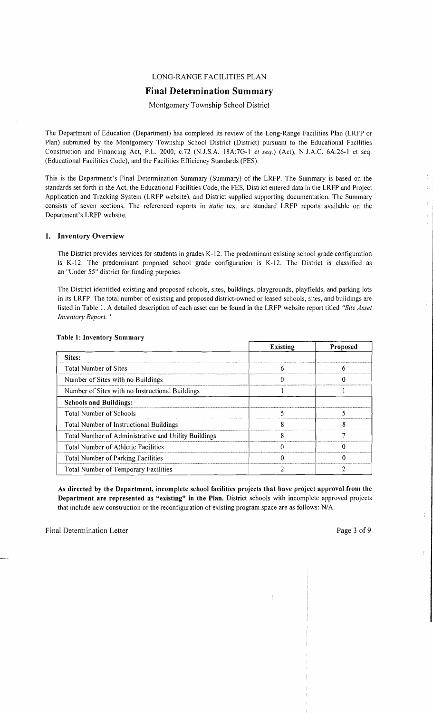## LONG-RANGE FACILITIES PLAN

## **Final Determination Summary**

Montgomery Township School District

The Department of Education (Department) has completed its review of the Long-Range Facilities Plan (LRFP or Plan) submitted by the Montgomery Township School District (District) pursuant to the Educational Facilities Construction and Financing Act, P.L. 2000, *c.*72 (N.J.S.A. 18A:7G-1 *et seq.*) (Act), N.J.A.C. 6A:26-1 et seq. (Educational Facilities Code), and the Facilities Efficiency Standards (FES).

This is the Department's Final Determination Summary (Summary) of the LRFP. The Summary is based on the standards set forth in the Act, the Educational Facilities Code, the FES, District entered data in the LRFP and Project Application and Tracking System (LRFP website), and District supplied supporting documentation. The Summary consists of seven sections. The referenced reports in *italic* text are standard LRFP reports available on the Department's LRFP website.

#### 1. Inventory Overview

The District provides services for students in grades K-12. The predominant existing school grade configuration is K-12. The predominant proposed school grade configuration is K-12. The District is classified as an "Under 55" district for funding purposes.

The District identified existing and proposed schools, sites, buildings, playgrounds, playfields, and parking lots in its LRFP. The total number of existing and proposed district-owned or leased schools, sites, and buildings are listed in Table I. A detailed description of each asset can be found in the LRFP website report titled *"Site Asset Inventory Report. "* 

|                                                      | <b>Existing</b> | Proposed |
|------------------------------------------------------|-----------------|----------|
| Sites:                                               |                 |          |
| Total Number of Sites                                |                 |          |
| Number of Sites with no Buildings                    |                 |          |
| Number of Sites with no Instructional Buildings      |                 |          |
| <b>Schools and Buildings:</b>                        |                 |          |
| Total Number of Schools                              |                 |          |
| Total Number of Instructional Buildings              |                 |          |
| Total Number of Administrative and Utility Buildings |                 |          |
| Total Number of Athletic Facilities                  |                 |          |
| Total Number of Parking Facilities                   |                 |          |
| Total Number of Temporary Facilities                 |                 |          |

#### Table 1: Inventory Summary

As directed by the Department, incomplete school facilities projects that have project approval from the Department are represented as "existing" in the Plan. District schools with incomplete approved projects that include new construction or the reconfiguration of existing program space are as follows: N/A.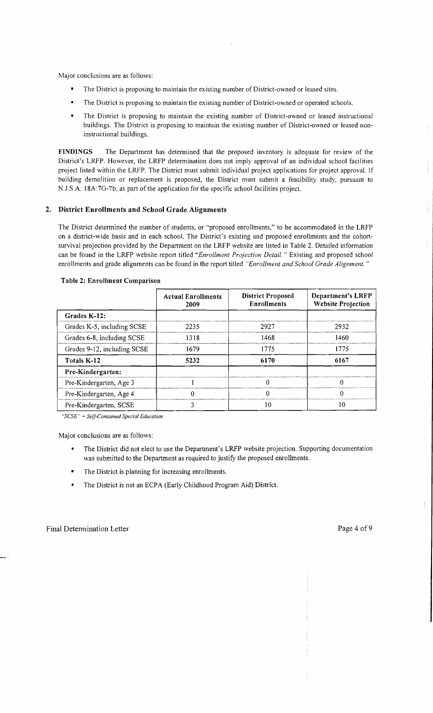Major conclusions are as follows:

- $\blacksquare$ The District is proposing to maintain the existing number of District-owned or leased sites.
- The District is proposing to maintain the existing number of District-owned or operated schools.
- The District is proposing to maintain the existing number of District-owned or leased instructional buildings. The District is proposing to maintain the existing number of District-owned or leased noninstructional buildings.

FINDINGS The Department has determined that the proposed inventory is adequate for review of the District's LRFP. However, the LRFP determination does not imply approval of an individual school facilities project listed within the LRFP. The District must submit individual project applications for project approval. If building demolition or replacement is proposed, the District must submit a feasibility study, pursuant to N.J.S.A. 18A:7G-7b, as part of the application for the specific school facilities project.

## 2. District Enrollments and School Grade Alignments

The District detennined the number of students, or "proposed enrollments," to be accommodated in the LRFP on a district-wide basis and in each school. The District's existing and proposed enrollments and the cohortsurvival projection provided by the Department on the LRFP website are listed in Table 2. Detailed information can be found in the LRFP website report titled *"Enrollment Projection Detail.* " Existing and proposed school enrollments and grade alignments can be found in the report titled *"Enrollment and School Grade Alignment. "* 

|                             | <b>Actual Enrollments</b><br>2009 | <b>District Proposed</b><br><b>Enrollments</b> | <b>Department's LRFP</b><br><b>Website Projection</b> |
|-----------------------------|-----------------------------------|------------------------------------------------|-------------------------------------------------------|
| Grades K-12:                |                                   |                                                |                                                       |
| Grades K-5, including SCSE  | 2235                              | 2927                                           | 2932                                                  |
| Grades 6-8, including SCSE  | 1318                              | 1468                                           | 1460                                                  |
| Grades 9-12, including SCSE | 1679                              | 1775                                           | 1775                                                  |
| Totals K-12                 | 5232                              | 6170                                           | 6167                                                  |
| Pre-Kindergarten:           |                                   |                                                |                                                       |
| Pre-Kindergarten, Age 3     |                                   |                                                |                                                       |
| Pre-Kindergarten, Age 4     |                                   |                                                | 0                                                     |
| Pre-Kindergarten, SCSE      |                                   | 10                                             | 10                                                    |

#### Table 2: Enrollment Comparison

*"SCSE"* = *Self-Contained Special Education* 

Major conclusions are as follows:

- The District did not elect to use the Department's LRFP website projection. Supporting documentation was submitted to the Department as required to justify the proposed enrollments.
- The District is planning for increasing enrollments.
- The District is not an ECPA (Early Childhood Program Aid) District.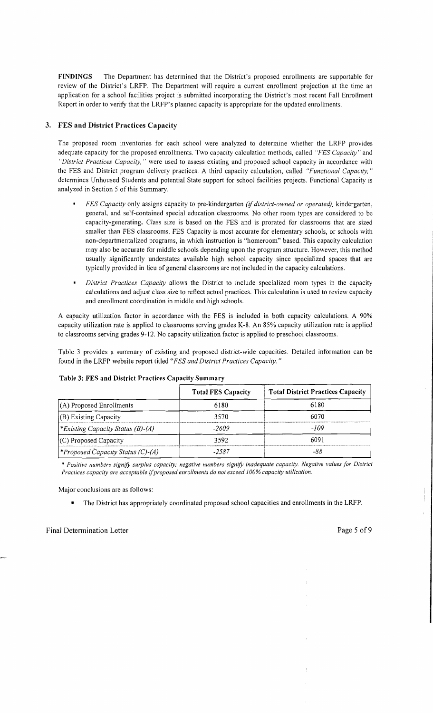FINDINGS The Department has determined that the District's proposed enrollments are supportable for review of the District's LRFP. The Department will require a current enrollment projection at the time an application for a school facilities project is submitted incorporating the District's most recent Fall Enrollment Report in order to verify that the LRFP's planned capacity is appropriate for the updated enrollments.

## 3. FES and District Practices Capacity

The proposed room inventories for each school were analyzed to determine whether the LRFP provides adequate capacity for the proposed enrollments. Two capacity calculation methods, called *"FES Capacity"* and *"District Practices Capacity,* " were used to assess existing and proposed school capacity in accordance with the FES and District program delivery practices. A third capacity calculation, called *"Functional Capacity, "*  determines Unhoused Students and potential State support for school facilities projects. Functional Capacity is analyzed in Section 5 of this Summary.

- *FES Capacity* only assigns capacity to pre-kindergarten *(if district-owned or operated),* kindergarten, general, and self-contained special education classrooms. No other room types are considered to be capacity-generating. Class size is based on the FES and is prorated for classrooms that are sized smaller than FES classrooms. FES Capacity is most accurate for elementary schools, or schools with non-departmentalized programs, in which instruction is "homeroom" based. This capacity calculation may also be accurate for middle schools depending upon the program structure. However, this method usually significantly understates available high school capacity since specialized spaces that are typically provided in lieu of general classrooms are not included in the capacity calculations.
- *District Practices Capacity* allows the District to include specialized room types in the capacity calculations and adjust class size to reflect actual practices. This calculation is used to review capacity and enrollment coordination in middle and high schools.

A capacity utilization factor in accordance with the FES is included in both capacity calculations. A 90% capacity utilization rate is applied to classrooms serving grades K-8. An 85% capacity utilization rate is applied to classrooms serving grades 9-12. No capacity utilization factor is applied to preschool classrooms.

Table 3 provides a summary of existing and proposed district-wide capacities. Detailed information can be found in the LRFP website report titled *"FES and District Practices Capacity. "* 

|                                                 | <b>Total FES Capacity</b> | <b>Total District Practices Capacity</b> |
|-------------------------------------------------|---------------------------|------------------------------------------|
| $(A)$ Proposed Enrollments                      | 6180                      | 6180                                     |
| $(B)$ Existing Capacity                         | 3570                      | 6070                                     |
| <i>Existing Capacity Status (B)-(A)</i>         | -2609                     | -109                                     |
| (C) Proposed Capacity                           | 3592                      | 6091                                     |
| <i><b>*Proposed Capacity Status (C)-(A)</b></i> | .2587                     | -88                                      |

## Table 3: FES and District Practices Capacity Summary

\* *Positive numbers signifY surplus capacity; negative numbers signifY inadequate capacity. Negative values for District Practices capacity are acceptable ijproposed enrollments do not exceed 100% capacity utilization.* 

Major conclusions are as follows:

• The District has appropriately coordinated proposed school capacities and enrollments in the LRFP.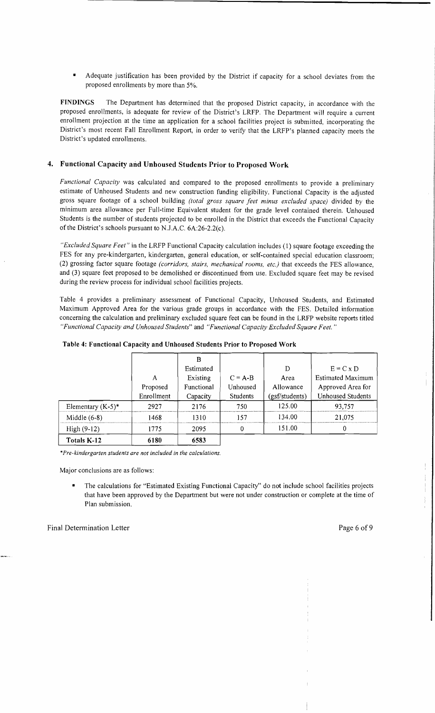Adequate justification has been provided by the District if capacity for a school deviates from the proposed enrollments by more than 5%.

FINDINGS The Department has determined that the proposed District capacity, in accordance with the proposed enrollments, is adequate for review of the District's LRFP. The Department will require a current enrollment projection at the time an application for a school facilities project is submitted, incorporating the District's most recent Fall Enrollment Report, in order to verify that the LRFP's planned capacity meets the District's updated enrollments.

## 4. Functional Capacity and Unhoused Students Prior to Proposed Work

*Functional Capacity* was calculated and compared to the proposed enrollments to provide a preliminary estimate of Unhoused Students and new construction funding eligibility. Functional Capacity is the adjusted gross square footage of a school building *(total gross square feet minus excluded space)* divided by the minimum area allowance per Full-time Equivalent student for the grade level contained therein. Unhoused Students is the number of students projected to be enrolled in the District that exceeds the Functional Capacity of the District's schools pursuant to N.lA.C. 6A:26-2.2(c).

*"Excluded Square Feet"* in the LRFP Functional Capacity calculation includes (1) square footage exceeding the FES for any pre-kindergarten, kindergarten, general education, or self-contained special education classroom; (2) grossing factor square footage *(corridors, stairs, mechanical rooms, etc.)* that exceeds the FES allowance, and (3) square feet proposed to be demolished or discontinued from use. Excluded square feet may be revised during the review process for individual school facilities projects.

Table 4 provides a preliminary assessment of Functional Capacity, Unhoused Students, and Estimated Maximum Approved Area for the various grade groups in accordance with the FES. Detailed information concerning the calculation and preliminary excluded square feet can be found in the LRFP website reports titled *"Functional Capacity and Unhoused Students"* and *"Functional Capacity Excluded Square Feet. "* 

|                      | A<br>Proposed<br>Enrollment | B<br>Estimated<br>Existing<br>Functional<br>Capacity | $C = A-B$<br>Unhoused<br>Students | D<br>Area<br>Allowance<br>(gsf/students) | $E = C \times D$<br><b>Estimated Maximum</b><br>Approved Area for<br><b>Unhoused Students</b> |
|----------------------|-----------------------------|------------------------------------------------------|-----------------------------------|------------------------------------------|-----------------------------------------------------------------------------------------------|
| Elementary $(K-5)^*$ | 2927                        | 2176                                                 | 750                               | 125.00                                   | 93,757                                                                                        |
| Middle $(6-8)$       | 1468                        | 1310                                                 | 157                               | 134.00                                   | 21,075                                                                                        |
| $High (9-12)$        | 1775                        | 2095                                                 | $\Omega$                          | 151.00                                   |                                                                                               |
| Totals K-12          | 6180                        | 6583                                                 |                                   |                                          |                                                                                               |

| Table 4: Functional Capacity and Unhoused Students Prior to Proposed Work |  |  |  |  |  |  |  |
|---------------------------------------------------------------------------|--|--|--|--|--|--|--|
|---------------------------------------------------------------------------|--|--|--|--|--|--|--|

\**Pre-kindergarten students are not included in the calculations.* 

Major conclusions are as follows:

The calculations for "Estimated Existing Functional Capacity" do not include school facilities projects that have been approved by the Department but were not under construction or complete at the time of Plan submission.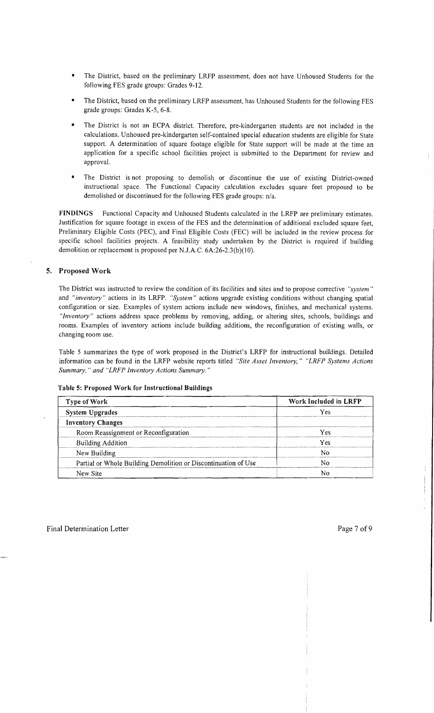- The District, based on the preliminary LRFP assessment, does not have Unhoused Students for the following FES grade groups: Grades 9-12.
- The District, based on the preliminary LRFP assessment, has Unhoused Students for the following FES grade groups: Grades K-5, 6-8.
- The District is not an ECPA district. Therefore, pre-kindergarten students are not included in the calculations. Unhoused pre-kindergarten self-contained special education students are eligible for State support. A determination of square footage eligible for State support will be made at the time an application for a specific school facilities project is submitted to the Department for review and approval.
- The District is not proposing to demolish or discontinue the use of existing District-owned instructional space. The Functional Capacity calculation excludes square feet proposed to be demolished or discontinued for the following FES grade groups: n/a.

FINDINGS Functional Capacity and Unhoused Students calculated in the LRFP are preliminary estimates. Justification for square footage in excess of the FES and the determination of additional excluded square feet, Preliminary Eligible Costs (PEC), and Final Eligible Costs (FEC) will be included in the review process for specific school facilities projects. A feasibility study undertaken by the District is required if building demolition or replacement is proposed per N.J.A.C. 6A:26-2.3(b)(10).

## 5. Proposed Work

The District was instructed to review the condition of its facilities and sites and to propose corrective *"system"*  and *"inventory"* actions in its LRFP. *"System"* actions upgrade existing conditions without changing spatial configuration or size. Examples of system actions include new windows, finishes, and mechanical systems. *"Inventory"* actions address space problems by removing, adding, or altering sites, schools, buildings and rooms. Examples of inventory actions include building additions, the reconfiguration of existing walls, or changing room use.

Table 5 summarizes the type of work proposed in the District's LRFP for instructional buildings. Detailed information can be found in the LRFP website reports titled *"Site Asset Inventory," "LRFP Systems Actions Summary,* " *and "LRFP Inventory Actions Summary. "* 

|  |  |  |  | Table 5: Proposed Work for Instructional Buildings |  |
|--|--|--|--|----------------------------------------------------|--|
|--|--|--|--|----------------------------------------------------|--|

| Type of Work                                                   | Work Included in LRFP |
|----------------------------------------------------------------|-----------------------|
| <b>System Upgrades</b>                                         | Yes                   |
| <b>Inventory Changes</b>                                       |                       |
| Room Reassignment or Reconfiguration                           | Ves                   |
| <b>Building Addition</b>                                       | Y es                  |
| New Building                                                   |                       |
| Partial or Whole Building Demolition or Discontinuation of Use |                       |
| New Site                                                       |                       |

ł.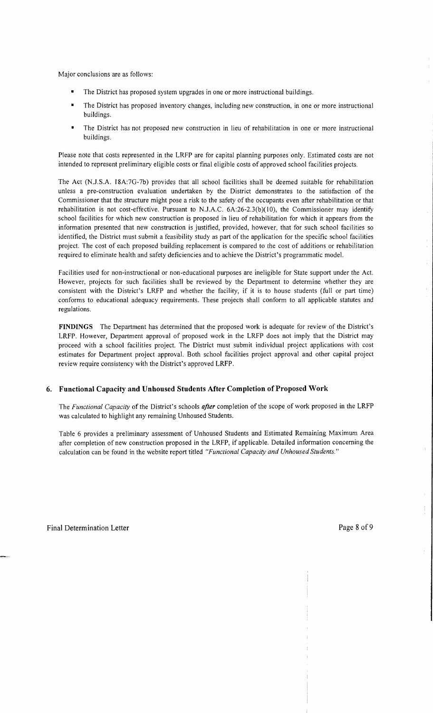Major conclusions are as follows:

- The District has proposed system upgrades in one or more instructional buildings.
- The District has proposed inventory changes, including new construction, in one or more instructional buildings.
- The District has not proposed new construction in lieu of rehabilitation in one or more instructional buildings.

Please note that costs represented in the LRFP are for capital planning purposes only. Estimated costs are not intended to represent preliminary eligible costs or final eligible costs of approved school facilities projects.

The Act (N.J.S.A. 18A:7G-7b) provides that all school facilities shall be deemed suitable for rehabilitation unless a pre-construction evaluation undertaken by the District demonstrates to the satisfaction of the Commissioner that the structure might pose a risk to the safety of the occupants even after rehabilitation or that rehabilitation is not cost-effective. Pursuant to N.J.A.C. 6A:26-2.3(b)(IO), the Commissioner may identify school facilities for which new construction is proposed in lieu of rehabilitation for which it appears from the information presented that new construction is justified, provided, however, that for such school facilities so identified, the District must submit a feasibility study as part of the application for the specific school facilities project. The cost of each proposed building replacement is compared to the cost of additions or rehabilitation required to eliminate health and safety deficiencies and to achieve the District's programmatic model.

Facilities used for non-instructional or non-educational purposes are ineligible for State support under the Act. However, projects for such facilities shall be reviewed by the Department to determine whether they are consistent with the District's LRFP and whether the facility, if it is to house students (full or part time) conforms to educational adequacy requirements. These projects shall conform to all applicable statutes and regulations.

**FINDINGS** The Department has determined that the proposed work is adequate for review of the District's LRFP. However, Department approval of proposed work in the LRFP does not imply that the District may proceed with a school facilities project. The District must submit individual project applications with cost estimates for Department project approval. Both school facilities project approval and other capital project review require consistency with the District's approved LRFP.

#### **6. Functional Capacity and Unhoused Students After Completion** of Proposed **Work**

The *Functional Capacity* of the District's schools *after* completion of the scope of work proposed in the LRFP was calculated to highlight any remaining Unhoused Students.

Table 6 provides a preliminary assessment of Unhoused Students and Estimated Remaining Maximum Area after completion of new construction proposed in the LRFP, if applicable. Detailed information concerning the calculation can be found in the website report titled *"Functional Capacity and Unhoused Students."* 

Ť.

Ÿ.

 $\pm$ 

ţ.